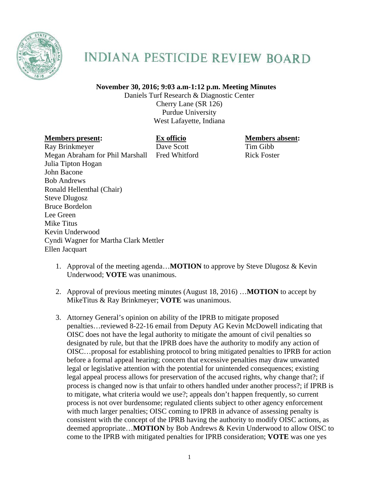

## **INDIANA PESTICIDE REVIEW BOARD**

## **November 30, 2016; 9:03 a.m-1:12 p.m. Meeting Minutes**

Daniels Turf Research & Diagnostic Center Cherry Lane (SR 126) Purdue University West Lafayette, Indiana

## **Members present: Ex officio Members absent: Members absent:**

Ray Brinkmeyer Dave Scott Tim Gibb Megan Abraham for Phil Marshall Fred Whitford Rick Foster Julia Tipton Hogan John Bacone Bob Andrews Ronald Hellenthal (Chair) Steve Dlugosz Bruce Bordelon Lee Green Mike Titus Kevin Underwood Cyndi Wagner for Martha Clark Mettler Ellen Jacquart

- 1. Approval of the meeting agenda…**MOTION** to approve by Steve Dlugosz & Kevin Underwood; **VOTE** was unanimous.
- 2. Approval of previous meeting minutes (August 18, 2016) …**MOTION** to accept by MikeTitus & Ray Brinkmeyer; **VOTE** was unanimous.
- 3. Attorney General's opinion on ability of the IPRB to mitigate proposed penalties…reviewed 8-22-16 email from Deputy AG Kevin McDowell indicating that OISC does not have the legal authority to mitigate the amount of civil penalties so designated by rule, but that the IPRB does have the authority to modify any action of OISC…proposal for establishing protocol to bring mitigated penalties to IPRB for action before a formal appeal hearing; concern that excessive penalties may draw unwanted legal or legislative attention with the potential for unintended consequences; existing legal appeal process allows for preservation of the accused rights, why change that?; if process is changed now is that unfair to others handled under another process?; if IPRB is to mitigate, what criteria would we use?; appeals don't happen frequently, so current process is not over burdensome; regulated clients subject to other agency enforcement with much larger penalties; OISC coming to IPRB in advance of assessing penalty is consistent with the concept of the IPRB having the authority to modify OISC actions, as deemed appropriate…**MOTION** by Bob Andrews & Kevin Underwood to allow OISC to come to the IPRB with mitigated penalties for IPRB consideration; **VOTE** was one yes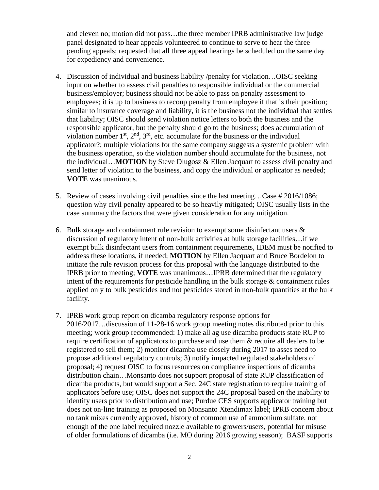and eleven no; motion did not pass…the three member IPRB administrative law judge panel designated to hear appeals volunteered to continue to serve to hear the three pending appeals; requested that all three appeal hearings be scheduled on the same day for expediency and convenience.

- 4. Discussion of individual and business liability /penalty for violation…OISC seeking input on whether to assess civil penalties to responsible individual or the commercial business/employer; business should not be able to pass on penalty assessment to employees; it is up to business to recoup penalty from employee if that is their position; similar to insurance coverage and liability, it is the business not the individual that settles that liability; OISC should send violation notice letters to both the business and the responsible applicator, but the penalty should go to the business; does accumulation of violation number  $1<sup>st</sup>$ ,  $2<sup>nd</sup>$ ,  $3<sup>rd</sup>$ , etc. accumulate for the business or the individual applicator?; multiple violations for the same company suggests a systemic problem with the business operation, so the violation number should accumulate for the business, not the individual…**MOTION** by Steve Dlugosz & Ellen Jacquart to assess civil penalty and send letter of violation to the business, and copy the individual or applicator as needed; **VOTE** was unanimous.
- 5. Review of cases involving civil penalties since the last meeting…Case # 2016/1086; question why civil penalty appeared to be so heavily mitigated; OISC usually lists in the case summary the factors that were given consideration for any mitigation.
- 6. Bulk storage and containment rule revision to exempt some disinfectant users  $\&$ discussion of regulatory intent of non-bulk activities at bulk storage facilities…if we exempt bulk disinfectant users from containment requirements, IDEM must be notified to address these locations, if needed; **MOTION** by Ellen Jacquart and Bruce Bordelon to initiate the rule revision process for this proposal with the language distributed to the IPRB prior to meeting; **VOTE** was unanimous…IPRB determined that the regulatory intent of the requirements for pesticide handling in the bulk storage  $\&$  containment rules applied only to bulk pesticides and not pesticides stored in non-bulk quantities at the bulk facility.
- 7. IPRB work group report on dicamba regulatory response options for 2016/2017…discussion of 11-28-16 work group meeting notes distributed prior to this meeting; work group recommended: 1) make all ag use dicamba products state RUP to require certification of applicators to purchase and use them & require all dealers to be registered to sell them; 2) monitor dicamba use closely during 2017 to asses need to propose additional regulatory controls; 3) notify impacted regulated stakeholders of proposal; 4) request OISC to focus resources on compliance inspections of dicamba distribution chain…Monsanto does not support proposal of state RUP classification of dicamba products, but would support a Sec. 24C state registration to require training of applicators before use; OISC does not support the 24C proposal based on the inability to identify users prior to distribution and use; Purdue CES supports applicator training but does not on-line training as proposed on Monsanto Xtendimax label; IPRB concern about no tank mixes currently approved, history of common use of ammonium sulfate, not enough of the one label required nozzle available to growers/users, potential for misuse of older formulations of dicamba (i.e. MO during 2016 growing season); BASF supports